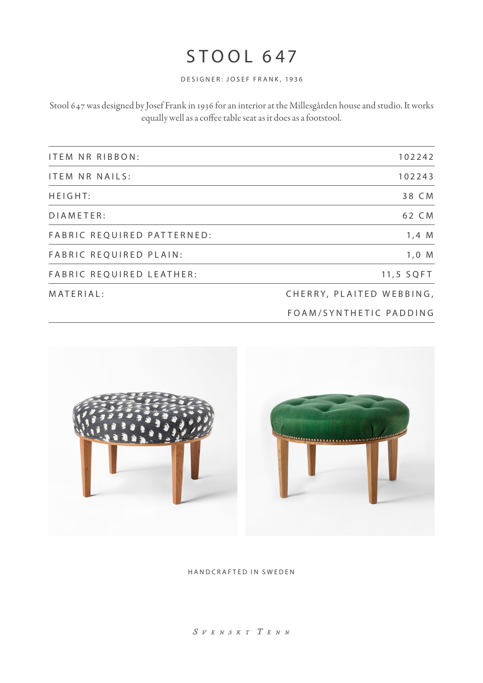## STOOL 647

DESIGNER: JOSEF FRANK, 1936

Stool 647 was designed by Josef Frank in 1936 for an interior at the Millesgården house and studio. It works equally well as a coffee table seat as it does as a footstool.

| <b>ITEM NR RIBBON:</b>     | 102242                   |
|----------------------------|--------------------------|
| <b>ITEM NR NAILS:</b>      | 102243                   |
| $H EIGHT$ :                | 38 CM                    |
| DIAMETER:                  | 62 CM                    |
| FABRIC REQUIRED PATTERNED: | $1,4 \ M$                |
| FABRIC REQUIRED PLAIN:     | $1,0$ M                  |
| FABRIC REQUIRED LEATHER:   | 11,5 SQFT                |
| MATERIAL:                  | CHERRY, PLAITED WEBBING, |
|                            | FOAM/SYNTHETIC PADDING   |



## HANDCRAFTED IN SWEDEN